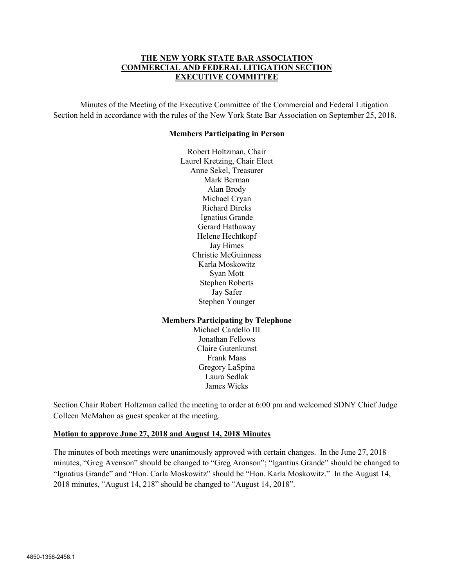### THE NEW YORK STATE BAR ASSOCIATION COMMERCIAL AND FEDERAL LITIGATION SECTION EXECUTIVE COMMITTEE

Minutes of the Meeting of the Executive Committee of the Commercial and Federal Litigation Section held in accordance with the rules of the New York State Bar Association on September 25, 2018.

#### Members Participating in Person

Robert Holtzman, Chair Laurel Kretzing, Chair Elect Anne Sekel, Treasurer Mark Berman Alan Brody Michael Cryan Richard Dircks Ignatius Grande Gerard Hathaway Helene Hechtkopf Jay Himes Christie McGuinness Karla Moskowitz Syan Mott Stephen Roberts Jay Safer Stephen Younger

### Members Participating by Telephone

Michael Cardello III Jonathan Fellows Claire Gutenkunst Frank Maas Gregory LaSpina Laura Sedlak James Wicks

Section Chair Robert Holtzman called the meeting to order at 6:00 pm and welcomed SDNY Chief Judge Colleen McMahon as guest speaker at the meeting.

### Motion to approve June 27, 2018 and August 14, 2018 Minutes

The minutes of both meetings were unanimously approved with certain changes. In the June 27, 2018 minutes, "Greg Avenson" should be changed to "Greg Aronson"; "Igantius Grande" should be changed to "Ignatius Grande" and "Hon. Carla Moskowitz" should be "Hon. Karla Moskowitz." In the August 14, 2018 minutes, "August 14, 218" should be changed to "August 14, 2018".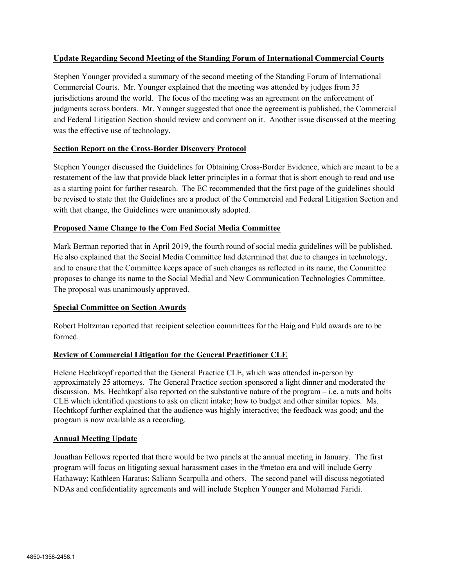### Update Regarding Second Meeting of the Standing Forum of International Commercial Courts

Stephen Younger provided a summary of the second meeting of the Standing Forum of International Commercial Courts. Mr. Younger explained that the meeting was attended by judges from 35 jurisdictions around the world. The focus of the meeting was an agreement on the enforcement of judgments across borders. Mr. Younger suggested that once the agreement is published, the Commercial and Federal Litigation Section should review and comment on it. Another issue discussed at the meeting was the effective use of technology.

## Section Report on the Cross-Border Discovery Protocol

Stephen Younger discussed the Guidelines for Obtaining Cross-Border Evidence, which are meant to be a restatement of the law that provide black letter principles in a format that is short enough to read and use as a starting point for further research. The EC recommended that the first page of the guidelines should be revised to state that the Guidelines are a product of the Commercial and Federal Litigation Section and with that change, the Guidelines were unanimously adopted.

## Proposed Name Change to the Com Fed Social Media Committee

Mark Berman reported that in April 2019, the fourth round of social media guidelines will be published. He also explained that the Social Media Committee had determined that due to changes in technology, and to ensure that the Committee keeps apace of such changes as reflected in its name, the Committee proposes to change its name to the Social Medial and New Communication Technologies Committee. The proposal was unanimously approved.

### Special Committee on Section Awards

Robert Holtzman reported that recipient selection committees for the Haig and Fuld awards are to be formed.

# Review of Commercial Litigation for the General Practitioner CLE

Helene Hechtkopf reported that the General Practice CLE, which was attended in-person by approximately 25 attorneys. The General Practice section sponsored a light dinner and moderated the discussion. Ms. Hechtkopf also reported on the substantive nature of the program – i.e. a nuts and bolts CLE which identified questions to ask on client intake; how to budget and other similar topics. Ms. Hechtkopf further explained that the audience was highly interactive; the feedback was good; and the program is now available as a recording.

### Annual Meeting Update

Jonathan Fellows reported that there would be two panels at the annual meeting in January. The first program will focus on litigating sexual harassment cases in the #metoo era and will include Gerry Hathaway; Kathleen Haratus; Saliann Scarpulla and others. The second panel will discuss negotiated NDAs and confidentiality agreements and will include Stephen Younger and Mohamad Faridi.